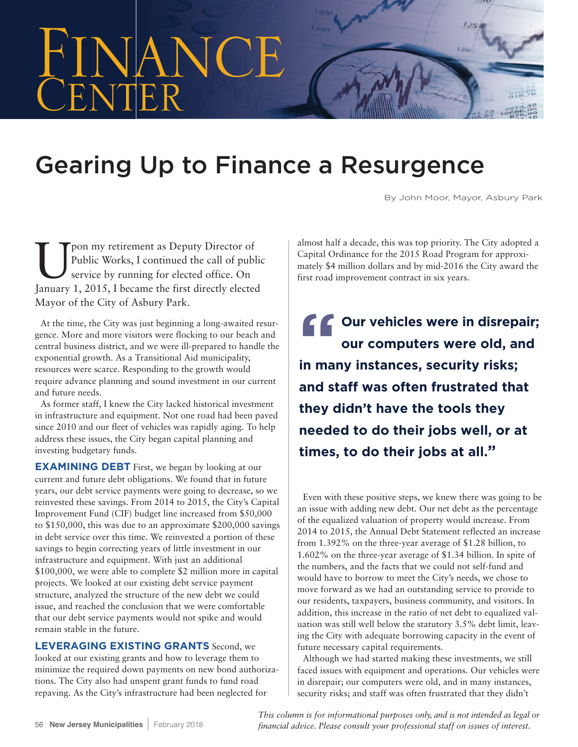

## **Gearing Up to Finance a Resurgence**

By John Moor, Mayor, Asbury Park

The my retirement as Deputy Director of<br>Public Works, I continued the call of public Works and the continued of the continued of the series of the first directly elected<br>Internal 1.2015. I because the first directly electe Public Works, I continued the call of public service by running for elected office. On January 1, 2015, I became the first directly elected Mayor of the City of Asbury Park.

At the time, the City was just beginning a long-awaited resurgence. More and more visitors were flocking to our beach and central business district, and we were ill-prepared to handle the exponential growth. As a Transitional Aid municipality, resources were scarce. Responding to the growth would require advance planning and sound investment in our current and future needs.

As former staff, I knew the City lacked historical investment in infrastructure and equipment. Not one road had been paved since 2010 and our fleet of vehicles was rapidly aging. To help address these issues, the City began capital planning and investing budgetary funds.

**EXAMINING DEBT** First, we began by looking at our current and future debt obligations. We found that in future years, our debt service payments were going to decrease, so we reinvested these savings. From 2014 to 2015, the City's Capital Improvement Fund (CIF) budget line increased from \$50,000 to \$150,000, this was due to an approximate \$200,000 savings in debt service over this time. We reinvested a portion of these savings to begin correcting years of little investment in our infrastructure and equipment. With just an additional \$100,000, we were able to complete \$2 million more in capital projects. We looked at our existing debt service payment structure, analyzed the structure of the new debt we could issue, and reached the conclusion that we were comfortable that our debt service payments would not spike and would remain stable in the future.

**LEVERAGING EXISTING GRANTS** Second, we looked at our existing grants and how to leverage them to minimize the required down payments on new bond authorizations. The City also had unspent grant funds to fund road repaving. As the City's infrastructure had been neglected for

almost half a decade, this was top priority. The City adopted a Capital Ordinance for the 2015 Road Program for approximately \$4 million dollars and by mid-2016 the City award the first road improvement contract in six years.

**" Our vehicles were in disrepair; our computers were old, and in many instances, security risks; and staff was often frustrated that they didn't have the tools they needed to do their jobs well, or at times, to do their jobs at all."**

Even with these positive steps, we knew there was going to be an issue with adding new debt. Our net debt as the percentage of the equalized valuation of property would increase. From 2014 to 2015, the Annual Debt Statement reflected an increase from 1.392% on the three-year average of \$1.28 billion, to 1.602% on the three-year average of \$1.34 billion. In spite of the numbers, and the facts that we could not self-fund and would have to borrow to meet the City's needs, we chose to move forward as we had an outstanding service to provide to our residents, taxpayers, business community, and visitors. In addition, this increase in the ratio of net debt to equalized valuation was still well below the statutory 3.5% debt limit, leaving the City with adequate borrowing capacity in the event of future necessary capital requirements.

Although we had started making these investments, we still faced issues with equipment and operations. Our vehicles were in disrepair; our computers were old, and in many instances, security risks; and staff was often frustrated that they didn't

*This column is for informational purposes only, and is not intended as legal or financial advice. Please consult your professional staff on issues of interest.*